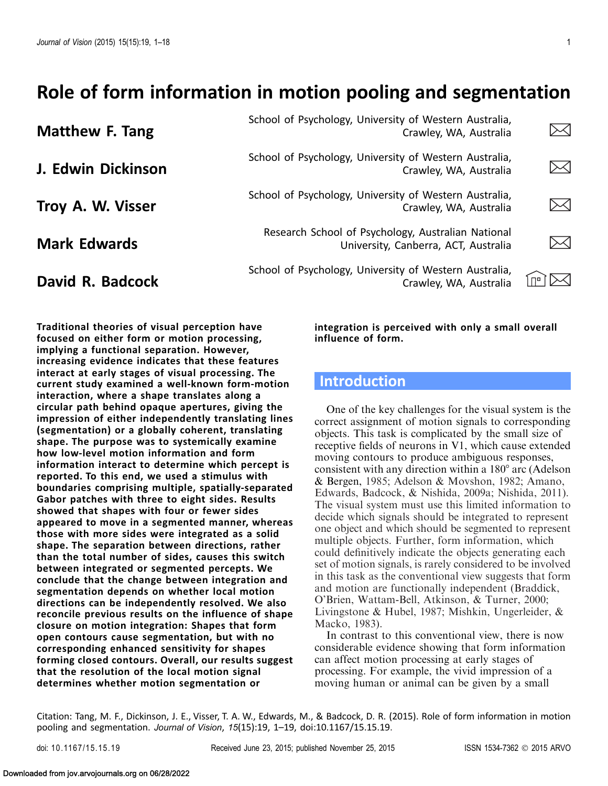# Role of form information in motion pooling and segmentation

| <b>Matthew F. Tang</b> | School of Psychology, University of Western Australia,<br>Crawley, WA, Australia           | $\times$ |
|------------------------|--------------------------------------------------------------------------------------------|----------|
| J. Edwin Dickinson     | School of Psychology, University of Western Australia,<br>Crawley, WA, Australia           | $\times$ |
| Troy A. W. Visser      | School of Psychology, University of Western Australia,<br>Crawley, WA, Australia           | $\times$ |
| <b>Mark Edwards</b>    | Research School of Psychology, Australian National<br>University, Canberra, ACT, Australia | $\times$ |
| David R. Badcock       | School of Psychology, University of Western Australia,<br>Crawley, WA, Australia           |          |

Traditional theories of visual perception have focused on either form or motion processing, implying a functional separation. However, increasing evidence indicates that these features interact at early stages of visual processing. The current study examined a well-known form-motion interaction, where a shape translates along a circular path behind opaque apertures, giving the impression of either independently translating lines (segmentation) or a globally coherent, translating shape. The purpose was to systemically examine how low-level motion information and form information interact to determine which percept is reported. To this end, we used a stimulus with boundaries comprising multiple, spatially-separated Gabor patches with three to eight sides. Results showed that shapes with four or fewer sides appeared to move in a segmented manner, whereas those with more sides were integrated as a solid shape. The separation between directions, rather than the total number of sides, causes this switch between integrated or segmented percepts. We conclude that the change between integration and segmentation depends on whether local motion directions can be independently resolved. We also reconcile previous results on the influence of shape closure on motion integration: Shapes that form open contours cause segmentation, but with no corresponding enhanced sensitivity for shapes forming closed contours. Overall, our results suggest that the resolution of the local motion signal determines whether motion segmentation or

integration is perceived with only a small overall influence of form.

# Introduction

One of the key challenges for the visual system is the correct assignment of motion signals to corresponding objects. This task is complicated by the small size of receptive fields of neurons in V1, which cause extended moving contours to produce ambiguous responses, consistent with any direction within a 180° arc (Adelson & Bergen, [1985](#page-14-0); Adelson & Movshon, [1982](#page-14-0); Amano, Edwards, Badcock, & Nishida, [2009a;](#page-15-0) Nishida, [2011](#page-16-0)). The visual system must use this limited information to decide which signals should be integrated to represent one object and which should be segmented to represent multiple objects. Further, form information, which could definitively indicate the objects generating each set of motion signals, is rarely considered to be involved in this task as the conventional view suggests that form and motion are functionally independent (Braddick, O'Brien, Wattam-Bell, Atkinson, & Turner, [2000;](#page-15-0) Livingstone & Hubel, [1987](#page-16-0); Mishkin, Ungerleider, & Macko, [1983\)](#page-16-0).

In contrast to this conventional view, there is now considerable evidence showing that form information can affect motion processing at early stages of processing. For example, the vivid impression of a moving human or animal can be given by a small

Citation: Tang, M. F., Dickinson, J. E., Visser, T. A. W., Edwards, M., & Badcock, D. R. (2015). Role of form information in motion pooling and segmentation. Journal of Vision, 15(15):19, 1–19, doi:10.1167/15.15.19.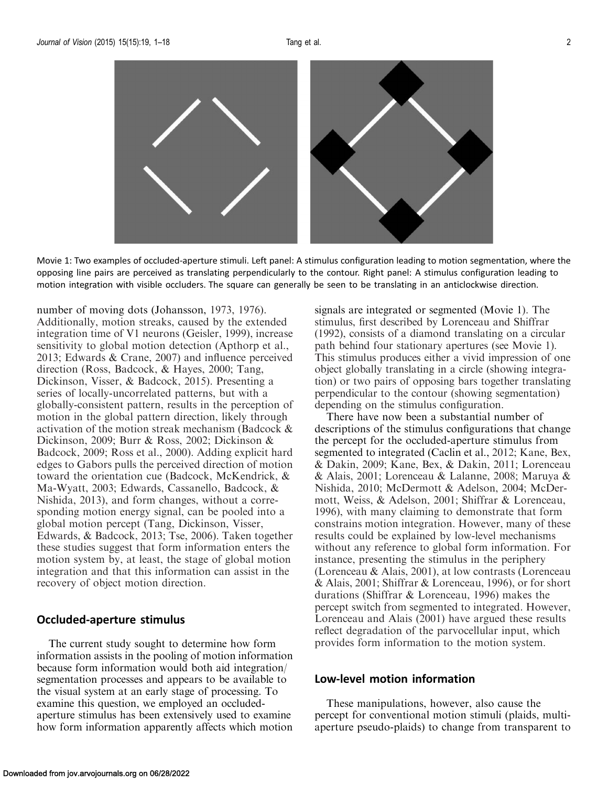<span id="page-1-0"></span>

Movie 1: Two examples of occluded-aperture stimuli. Left panel: A stimulus configuration leading to motion segmentation, where the opposing line pairs are perceived as translating perpendicularly to the contour. Right panel: A stimulus configuration leading to motion integration with visible occluders. The square can generally be seen to be translating in an anticlockwise direction.

number of moving dots (Johansson, [1973](#page-16-0), [1976](#page-16-0)). Additionally, motion streaks, caused by the extended integration time of V1 neurons (Geisler, [1999](#page-15-0)), increase sensitivity to global motion detection (Apthorp et al., [2013;](#page-15-0) Edwards & Crane, [2007](#page-15-0)) and influence perceived direction (Ross, Badcock, & Hayes, [2000](#page-16-0); Tang, Dickinson, Visser, & Badcock, [2015\)](#page-16-0). Presenting a series of locally-uncorrelated patterns, but with a globally-consistent pattern, results in the perception of motion in the global pattern direction, likely through activation of the motion streak mechanism (Badcock & Dickinson, [2009;](#page-15-0) Burr & Ross, [2002](#page-15-0); Dickinson & Badcock, [2009](#page-15-0); Ross et al., [2000\)](#page-16-0). Adding explicit hard edges to Gabors pulls the perceived direction of motion toward the orientation cue (Badcock, McKendrick, & Ma-Wyatt, [2003;](#page-15-0) Edwards, Cassanello, Badcock, & Nishida, [2013](#page-15-0)), and form changes, without a corresponding motion energy signal, can be pooled into a global motion percept (Tang, Dickinson, Visser, Edwards, & Badcock, [2013;](#page-16-0) Tse, [2006](#page-16-0)). Taken together these studies suggest that form information enters the motion system by, at least, the stage of global motion integration and that this information can assist in the recovery of object motion direction.

#### Occluded-aperture stimulus

The current study sought to determine how form information assists in the pooling of motion information because form information would both aid integration/ segmentation processes and appears to be available to the visual system at an early stage of processing. To examine this question, we employed an occludedaperture stimulus has been extensively used to examine how form information apparently affects which motion

signals are integrated or segmented (Movie 1). The stimulus, first described by Lorenceau and Shiffrar [\(1992\)](#page-16-0), consists of a diamond translating on a circular path behind four stationary apertures (see Movie 1). This stimulus produces either a vivid impression of one object globally translating in a circle (showing integration) or two pairs of opposing bars together translating perpendicular to the contour (showing segmentation) depending on the stimulus configuration.

There have now been a substantial number of descriptions of the stimulus configurations that change the percept for the occluded-aperture stimulus from segmented to integrated (Caclin et al., [2012;](#page-15-0) Kane, Bex, & Dakin, [2009;](#page-16-0) Kane, Bex, & Dakin, [2011](#page-16-0); Lorenceau & Alais, [2001](#page-16-0); Lorenceau & Lalanne, [2008](#page-16-0); Maruya & Nishida, [2010](#page-16-0); McDermott & Adelson, [2004;](#page-16-0) McDermott, Weiss, & Adelson, [2001;](#page-16-0) Shiffrar & Lorenceau, [1996\)](#page-16-0), with many claiming to demonstrate that form constrains motion integration. However, many of these results could be explained by low-level mechanisms without any reference to global form information. For instance, presenting the stimulus in the periphery (Lorenceau & Alais, [2001\)](#page-16-0), at low contrasts (Lorenceau & Alais, [2001;](#page-16-0) Shiffrar & Lorenceau, [1996](#page-16-0)), or for short durations (Shiffrar & Lorenceau, [1996\)](#page-16-0) makes the percept switch from segmented to integrated. However, Lorenceau and Alais ([2001\)](#page-16-0) have argued these results reflect degradation of the parvocellular input, which provides form information to the motion system.

#### Low-level motion information

These manipulations, however, also cause the percept for conventional motion stimuli (plaids, multiaperture pseudo-plaids) to change from transparent to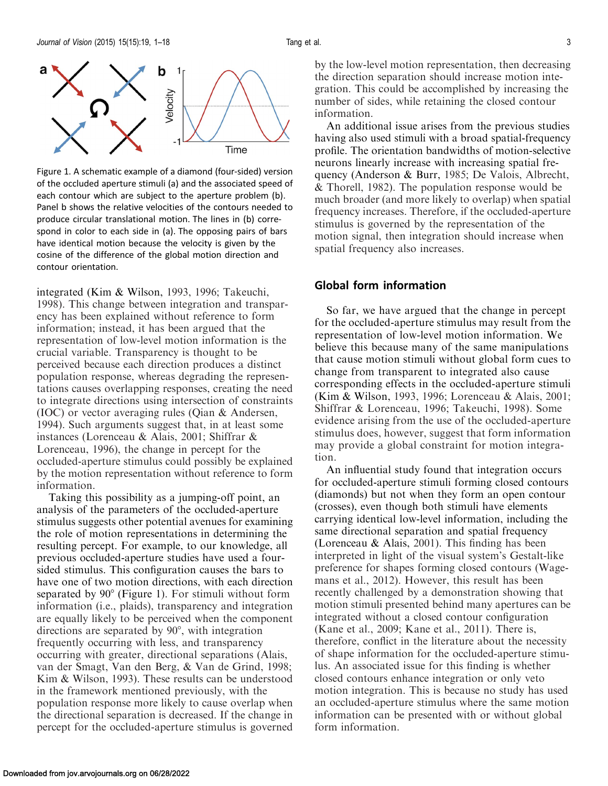

Figure 1. A schematic example of a diamond (four-sided) version of the occluded aperture stimuli (a) and the associated speed of each contour which are subject to the aperture problem (b). Panel b shows the relative velocities of the contours needed to produce circular translational motion. The lines in (b) correspond in color to each side in (a). The opposing pairs of bars have identical motion because the velocity is given by the cosine of the difference of the global motion direction and contour orientation.

integrated (Kim & Wilson, [1993, 1996](#page-16-0); Takeuchi, [1998\)](#page-16-0). This change between integration and transparency has been explained without reference to form information; instead, it has been argued that the representation of low-level motion information is the crucial variable. Transparency is thought to be perceived because each direction produces a distinct population response, whereas degrading the representations causes overlapping responses, creating the need to integrate directions using intersection of constraints (IOC) or vector averaging rules (Qian & Andersen, [1994\)](#page-16-0). Such arguments suggest that, in at least some instances (Lorenceau & Alais, [2001](#page-16-0); Shiffrar & Lorenceau, [1996](#page-16-0)), the change in percept for the occluded-aperture stimulus could possibly be explained by the motion representation without reference to form information.

Taking this possibility as a jumping-off point, an analysis of the parameters of the occluded-aperture stimulus suggests other potential avenues for examining the role of motion representations in determining the resulting percept. For example, to our knowledge, all previous occluded-aperture studies have used a foursided stimulus. This configuration causes the bars to have one of two motion directions, with each direction separated by  $90^\circ$  (Figure 1). For stimuli without form information (i.e., plaids), transparency and integration are equally likely to be perceived when the component directions are separated by  $90^{\circ}$ , with integration frequently occurring with less, and transparency occurring with greater, directional separations (Alais, van der Smagt, Van den Berg, & Van de Grind, [1998;](#page-15-0) Kim & Wilson, [1993](#page-16-0)). These results can be understood in the framework mentioned previously, with the population response more likely to cause overlap when the directional separation is decreased. If the change in percept for the occluded-aperture stimulus is governed by the low-level motion representation, then decreasing the direction separation should increase motion integration. This could be accomplished by increasing the number of sides, while retaining the closed contour information.

An additional issue arises from the previous studies having also used stimuli with a broad spatial-frequency profile. The orientation bandwidths of motion-selective neurons linearly increase with increasing spatial frequency (Anderson & Burr, [1985](#page-15-0); De Valois, Albrecht, & Thorell, [1982\)](#page-15-0). The population response would be much broader (and more likely to overlap) when spatial frequency increases. Therefore, if the occluded-aperture stimulus is governed by the representation of the motion signal, then integration should increase when spatial frequency also increases.

### Global form information

So far, we have argued that the change in percept for the occluded-aperture stimulus may result from the representation of low-level motion information. We believe this because many of the same manipulations that cause motion stimuli without global form cues to change from transparent to integrated also cause corresponding effects in the occluded-aperture stimuli (Kim & Wilson, [1993](#page-16-0), [1996;](#page-16-0) Lorenceau & Alais, [2001](#page-16-0); Shiffrar & Lorenceau, [1996](#page-16-0); Takeuchi, [1998\)](#page-16-0). Some evidence arising from the use of the occluded-aperture stimulus does, however, suggest that form information may provide a global constraint for motion integration.

An influential study found that integration occurs for occluded-aperture stimuli forming closed contours (diamonds) but not when they form an open contour (crosses), even though both stimuli have elements carrying identical low-level information, including the same directional separation and spatial frequency (Lorenceau & Alais, [2001](#page-16-0)). This finding has been interpreted in light of the visual system's Gestalt-like preference for shapes forming closed contours (Wagemans et al., [2012](#page-17-0)). However, this result has been recently challenged by a demonstration showing that motion stimuli presented behind many apertures can be integrated without a closed contour configuration (Kane et al., [2009;](#page-16-0) Kane et al., [2011](#page-16-0)). There is, therefore, conflict in the literature about the necessity of shape information for the occluded-aperture stimulus. An associated issue for this finding is whether closed contours enhance integration or only veto motion integration. This is because no study has used an occluded-aperture stimulus where the same motion information can be presented with or without global form information.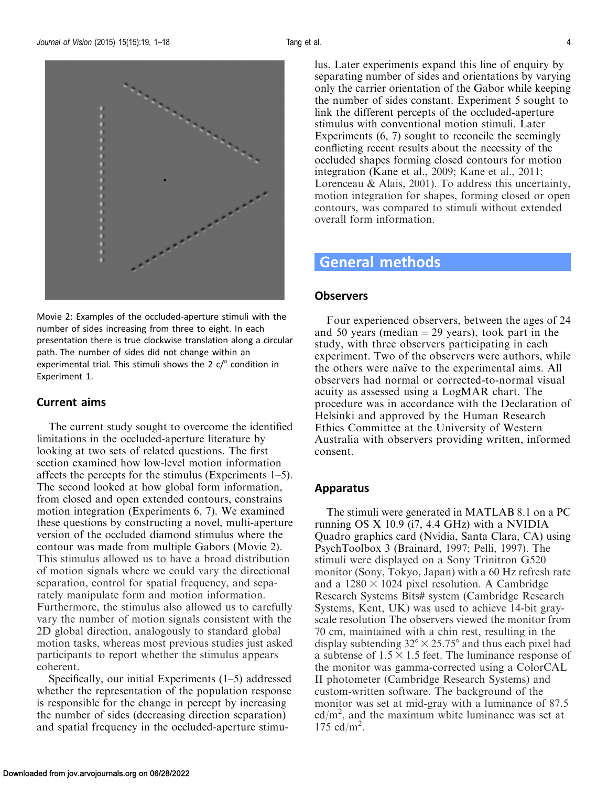<span id="page-3-0"></span>

Movie 2: Examples of the occluded-aperture stimuli with the number of sides increasing from three to eight. In each presentation there is true clockwise translation along a circular path. The number of sides did not change within an experimental trial. This stimuli shows the 2  $c$ <sup>o</sup> condition in Experiment 1.

#### Current aims

The current study sought to overcome the identified limitations in the occluded-aperture literature by looking at two sets of related questions. The first section examined how low-level motion information affects the percepts for the stimulus (Experiments 1–5). The second looked at how global form information, from closed and open extended contours, constrains motion integration (Experiments 6, 7). We examined these questions by constructing a novel, multi-aperture version of the occluded diamond stimulus where the contour was made from multiple Gabors (Movie 2). This stimulus allowed us to have a broad distribution of motion signals where we could vary the directional separation, control for spatial frequency, and separately manipulate form and motion information. Furthermore, the stimulus also allowed us to carefully vary the number of motion signals consistent with the 2D global direction, analogously to standard global motion tasks, whereas most previous studies just asked participants to report whether the stimulus appears coherent.

Specifically, our initial Experiments  $(1-5)$  addressed whether the representation of the population response is responsible for the change in percept by increasing the number of sides (decreasing direction separation) and spatial frequency in the occluded-aperture stimulus. Later experiments expand this line of enquiry by separating number of sides and orientations by varying only the carrier orientation of the Gabor while keeping the number of sides constant. Experiment 5 sought to link the different percepts of the occluded-aperture stimulus with conventional motion stimuli. Later Experiments (6, 7) sought to reconcile the seemingly conflicting recent results about the necessity of the occluded shapes forming closed contours for motion integration (Kane et al., [2009;](#page-16-0) Kane et al., [2011](#page-16-0); Lorenceau & Alais, [2001\)](#page-16-0). To address this uncertainty, motion integration for shapes, forming closed or open contours, was compared to stimuli without extended overall form information.

# General methods

#### **Observers**

Four experienced observers, between the ages of 24 and 50 years (median  $=$  29 years), took part in the study, with three observers participating in each experiment. Two of the observers were authors, while the others were naïve to the experimental aims. All observers had normal or corrected-to-normal visual acuity as assessed using a LogMAR chart. The procedure was in accordance with the Declaration of Helsinki and approved by the Human Research Ethics Committee at the University of Western Australia with observers providing written, informed consent.

#### Apparatus

The stimuli were generated in MATLAB 8.1 on a PC running OS X 10.9 (i7, 4.4 GHz) with a NVIDIA Quadro graphics card (Nvidia, Santa Clara, CA) using PsychToolbox 3 (Brainard, [1997;](#page-15-0) Pelli, [1997](#page-16-0)). The stimuli were displayed on a Sony Trinitron G520 monitor (Sony, Tokyo, Japan) with a 60 Hz refresh rate and a  $1280 \times 1024$  pixel resolution. A Cambridge Research Systems Bits# system (Cambridge Research Systems, Kent, UK) was used to achieve 14-bit grayscale resolution The observers viewed the monitor from 70 cm, maintained with a chin rest, resulting in the display subtending  $32^{\circ} \times 25.75^{\circ}$  and thus each pixel had a subtense of  $1.5 \times 1.5$  feet. The luminance response of the monitor was gamma-corrected using a ColorCAL II photometer (Cambridge Research Systems) and custom-written software. The background of the monitor was set at mid-gray with a luminance of 87.5  $cd/m<sup>2</sup>$ , and the maximum white luminance was set at  $175 \text{ cd/m}^2$ .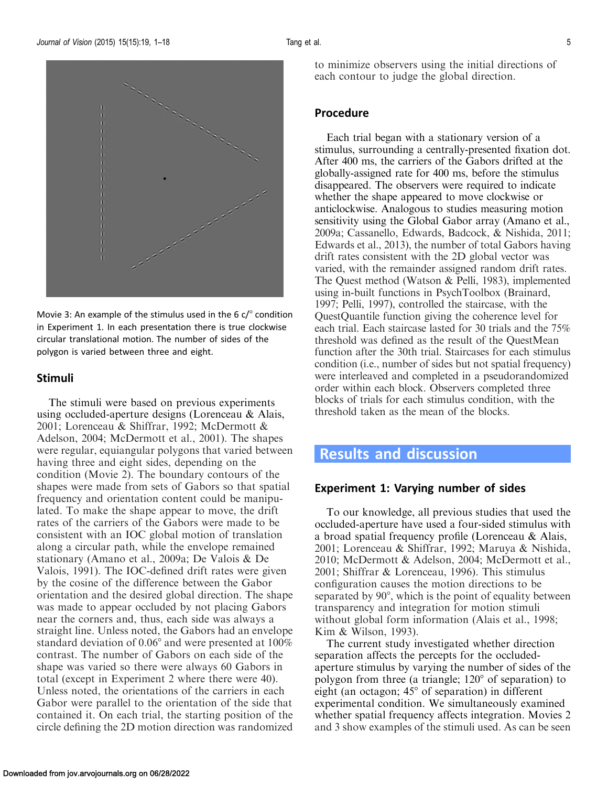<span id="page-4-0"></span>

Movie 3: An example of the stimulus used in the 6  $c$ <sup>o</sup> condition in Experiment 1. In each presentation there is true clockwise circular translational motion. The number of sides of the polygon is varied between three and eight.

#### Stimuli

The stimuli were based on previous experiments using occluded-aperture designs (Lorenceau & Alais, [2001;](#page-16-0) Lorenceau & Shiffrar, [1992](#page-16-0); McDermott & Adelson, [2004](#page-16-0); McDermott et al., [2001](#page-16-0)). The shapes were regular, equiangular polygons that varied between having three and eight sides, depending on the condition ([Movie 2](#page-3-0)). The boundary contours of the shapes were made from sets of Gabors so that spatial frequency and orientation content could be manipulated. To make the shape appear to move, the drift rates of the carriers of the Gabors were made to be consistent with an IOC global motion of translation along a circular path, while the envelope remained stationary (Amano et al., [2009a;](#page-15-0) De Valois & De Valois, [1991](#page-15-0)). The IOC-defined drift rates were given by the cosine of the difference between the Gabor orientation and the desired global direction. The shape was made to appear occluded by not placing Gabors near the corners and, thus, each side was always a straight line. Unless noted, the Gabors had an envelope standard deviation of  $0.06^{\circ}$  and were presented at  $100\%$ contrast. The number of Gabors on each side of the shape was varied so there were always 60 Gabors in total (except in Experiment 2 where there were 40). Unless noted, the orientations of the carriers in each Gabor were parallel to the orientation of the side that contained it. On each trial, the starting position of the circle defining the 2D motion direction was randomized to minimize observers using the initial directions of each contour to judge the global direction.

### Procedure

Each trial began with a stationary version of a stimulus, surrounding a centrally-presented fixation dot. After 400 ms, the carriers of the Gabors drifted at the globally-assigned rate for 400 ms, before the stimulus disappeared. The observers were required to indicate whether the shape appeared to move clockwise or anticlockwise. Analogous to studies measuring motion sensitivity using the Global Gabor array (Amano et al., [2009a;](#page-15-0) Cassanello, Edwards, Badcock, & Nishida, [2011](#page-15-0); Edwards et al., [2013](#page-15-0)), the number of total Gabors having drift rates consistent with the 2D global vector was varied, with the remainder assigned random drift rates. The Quest method (Watson & Pelli, [1983\)](#page-17-0), implemented using in-built functions in PsychToolbox (Brainard, [1997](#page-15-0); Pelli, [1997\)](#page-16-0), controlled the staircase, with the QuestQuantile function giving the coherence level for each trial. Each staircase lasted for 30 trials and the 75% threshold was defined as the result of the QuestMean function after the 30th trial. Staircases for each stimulus condition (i.e., number of sides but not spatial frequency) were interleaved and completed in a pseudorandomized order within each block. Observers completed three blocks of trials for each stimulus condition, with the threshold taken as the mean of the blocks.

# Results and discussion

#### Experiment 1: Varying number of sides

To our knowledge, all previous studies that used the occluded-aperture have used a four-sided stimulus with a broad spatial frequency profile (Lorenceau & Alais, [2001;](#page-16-0) Lorenceau & Shiffrar, [1992](#page-16-0); Maruya & Nishida, [2010;](#page-16-0) McDermott & Adelson, [2004](#page-16-0); McDermott et al., [2001;](#page-16-0) Shiffrar & Lorenceau, [1996](#page-16-0)). This stimulus configuration causes the motion directions to be separated by  $90^\circ$ , which is the point of equality between transparency and integration for motion stimuli without global form information (Alais et al., [1998](#page-15-0); Kim & Wilson, [1993](#page-16-0)).

The current study investigated whether direction separation affects the percepts for the occludedaperture stimulus by varying the number of sides of the polygon from three (a triangle;  $120^{\circ}$  of separation) to eight (an octagon;  $45^{\circ}$  of separation) in different experimental condition. We simultaneously examined whether spatial frequency affects integration. [Movies 2](#page-3-0) and 3 show examples of the stimuli used. As can be seen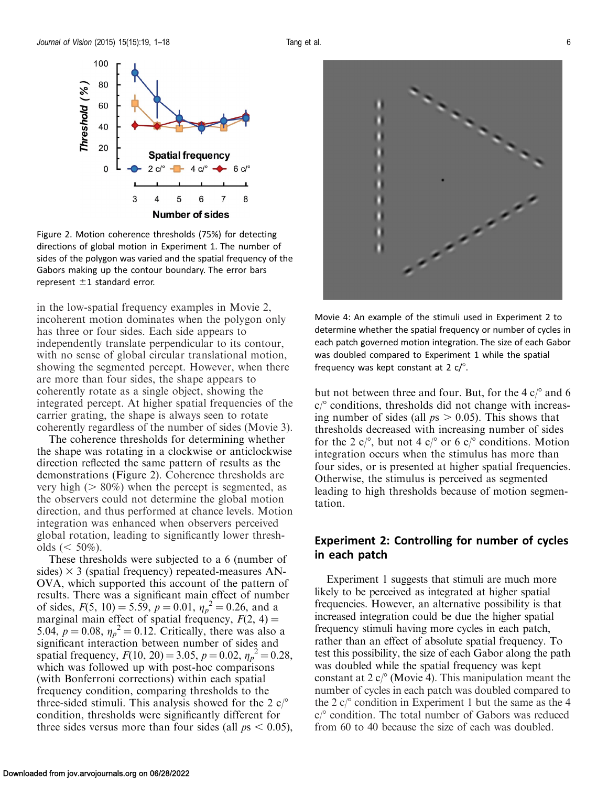

Figure 2. Motion coherence thresholds (75%) for detecting directions of global motion in Experiment 1. The number of sides of the polygon was varied and the spatial frequency of the Gabors making up the contour boundary. The error bars represent  $\pm 1$  standard error.

in the low-spatial frequency examples in [Movie 2,](#page-3-0) incoherent motion dominates when the polygon only has three or four sides. Each side appears to independently translate perpendicular to its contour, with no sense of global circular translational motion, showing the segmented percept. However, when there are more than four sides, the shape appears to coherently rotate as a single object, showing the integrated percept. At higher spatial frequencies of the carrier grating, the shape is always seen to rotate coherently regardless of the number of sides ([Movie 3](#page-4-0)).

The coherence thresholds for determining whether the shape was rotating in a clockwise or anticlockwise direction reflected the same pattern of results as the demonstrations (Figure 2). Coherence thresholds are very high ( $> 80\%$ ) when the percept is segmented, as the observers could not determine the global motion direction, and thus performed at chance levels. Motion integration was enhanced when observers perceived global rotation, leading to significantly lower thresholds ( $< 50\%$ ).

These thresholds were subjected to a 6 (number of sides)  $\times$  3 (spatial frequency) repeated-measures AN-OVA, which supported this account of the pattern of results. There was a significant main effect of number of sides,  $F(5, 10) = 5.59$ ,  $p = 0.01$ ,  $\eta_p^2 = 0.26$ , and a marginal main effect of spatial frequency,  $F(2, 4) =$ 5.04,  $p = 0.08$ ,  $\eta_p^2 = 0.12$ . Critically, there was also a significant interaction between number of sides and spatial frequency,  $F(10, 20) = 3.05$ ,  $p = 0.02$ ,  $\eta_p^2 = 0.28$ , which was followed up with post-hoc comparisons (with Bonferroni corrections) within each spatial frequency condition, comparing thresholds to the three-sided stimuli. This analysis showed for the 2  $c$ <sup>o</sup> condition, thresholds were significantly different for three sides versus more than four sides (all  $ps < 0.05$ ),



Movie 4: An example of the stimuli used in Experiment 2 to determine whether the spatial frequency or number of cycles in each patch governed motion integration. The size of each Gabor was doubled compared to Experiment 1 while the spatial frequency was kept constant at 2  $c$ <sup>o</sup>.

but not between three and four. But, for the  $4 \text{ c}/^{\circ}$  and 6  $c$ <sup> $\circ$ </sup> conditions, thresholds did not change with increasing number of sides (all  $ps > 0.05$ ). This shows that thresholds decreased with increasing number of sides for the 2  $c$ /°, but not 4  $c$ /° or 6  $c$ /° conditions. Motion integration occurs when the stimulus has more than four sides, or is presented at higher spatial frequencies. Otherwise, the stimulus is perceived as segmented leading to high thresholds because of motion segmentation.

## Experiment 2: Controlling for number of cycles in each patch

Experiment 1 suggests that stimuli are much more likely to be perceived as integrated at higher spatial frequencies. However, an alternative possibility is that increased integration could be due the higher spatial frequency stimuli having more cycles in each patch, rather than an effect of absolute spatial frequency. To test this possibility, the size of each Gabor along the path was doubled while the spatial frequency was kept constant at  $2 c<sup>o</sup>$  (Movie 4). This manipulation meant the number of cycles in each patch was doubled compared to the 2  $c$ <sup>o</sup> condition in Experiment 1 but the same as the 4  $c$ <sup>o</sup> condition. The total number of Gabors was reduced from 60 to 40 because the size of each was doubled.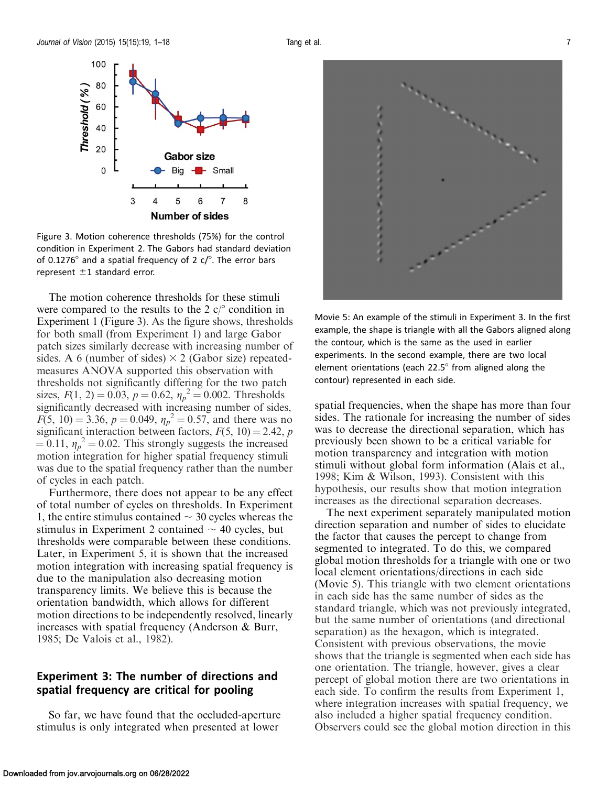

Figure 3. Motion coherence thresholds (75%) for the control condition in Experiment 2. The Gabors had standard deviation of 0.1276 $^{\circ}$  and a spatial frequency of 2 c/ $^{\circ}$ . The error bars represent  $\pm 1$  standard error.

The motion coherence thresholds for these stimuli were compared to the results to the  $2 \text{ c}/^{\circ}$  condition in Experiment 1 (Figure 3). As the figure shows, thresholds for both small (from Experiment 1) and large Gabor patch sizes similarly decrease with increasing number of sides. A 6 (number of sides)  $\times$  2 (Gabor size) repeatedmeasures ANOVA supported this observation with thresholds not significantly differing for the two patch sizes,  $F(1, 2) = 0.03$ ,  $p = 0.62$ ,  $\eta_p^2 = 0.002$ . Thresholds significantly decreased with increasing number of sides,  $F(5, 10) = 3.36, p = 0.049, \eta_p^2 = 0.57$ , and there was no significant interaction between factors,  $F(5, 10) = 2.42$ , p  $= 0.11$ ,  $\eta_p^2 = 0.02$ . This strongly suggests the increased motion integration for higher spatial frequency stimuli was due to the spatial frequency rather than the number of cycles in each patch.

Furthermore, there does not appear to be any effect of total number of cycles on thresholds. In Experiment 1, the entire stimulus contained  $\sim$  30 cycles whereas the stimulus in Experiment 2 contained  $\sim$  40 cycles, but thresholds were comparable between these conditions. Later, in Experiment 5, it is shown that the increased motion integration with increasing spatial frequency is due to the manipulation also decreasing motion transparency limits. We believe this is because the orientation bandwidth, which allows for different motion directions to be independently resolved, linearly increases with spatial frequency (Anderson & Burr, [1985;](#page-15-0) De Valois et al., [1982](#page-15-0)).

## Experiment 3: The number of directions and spatial frequency are critical for pooling

So far, we have found that the occluded-aperture stimulus is only integrated when presented at lower



Movie 5: An example of the stimuli in Experiment 3. In the first example, the shape is triangle with all the Gabors aligned along the contour, which is the same as the used in earlier experiments. In the second example, there are two local element orientations (each  $22.5^{\circ}$  from aligned along the contour) represented in each side.

spatial frequencies, when the shape has more than four sides. The rationale for increasing the number of sides was to decrease the directional separation, which has previously been shown to be a critical variable for motion transparency and integration with motion stimuli without global form information (Alais et al., [1998;](#page-15-0) Kim & Wilson, [1993\)](#page-16-0). Consistent with this hypothesis, our results show that motion integration increases as the directional separation decreases.

The next experiment separately manipulated motion direction separation and number of sides to elucidate the factor that causes the percept to change from segmented to integrated. To do this, we compared global motion thresholds for a triangle with one or two local element orientations/directions in each side (Movie 5). This triangle with two element orientations in each side has the same number of sides as the standard triangle, which was not previously integrated, but the same number of orientations (and directional separation) as the hexagon, which is integrated. Consistent with previous observations, the movie shows that the triangle is segmented when each side has one orientation. The triangle, however, gives a clear percept of global motion there are two orientations in each side. To confirm the results from Experiment 1, where integration increases with spatial frequency, we also included a higher spatial frequency condition. Observers could see the global motion direction in this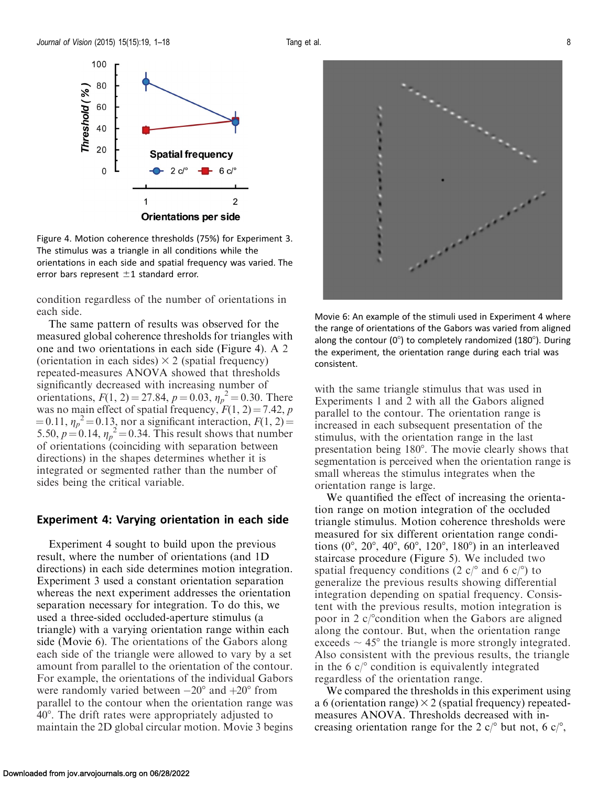

Figure 4. Motion coherence thresholds (75%) for Experiment 3. The stimulus was a triangle in all conditions while the orientations in each side and spatial frequency was varied. The error bars represent  $\pm 1$  standard error.

condition regardless of the number of orientations in each side.

The same pattern of results was observed for the measured global coherence thresholds for triangles with one and two orientations in each side (Figure 4). A 2 (orientation in each sides)  $\times$  2 (spatial frequency) repeated-measures ANOVA showed that thresholds significantly decreased with increasing number of orientations,  $F(1, 2) = 27.84$ ,  $p = 0.03$ ,  $\eta_p^2 = 0.30$ . There was no main effect of spatial frequency,  $F(1, 2) = 7.42$ , p  $=0.11, \eta_p^2=0.13$ , nor a significant interaction,  $F(1, 2)=$ 5.50,  $p=0.14$ ,  $\eta_p^2=0.34$ . This result shows that number of orientations (coinciding with separation between directions) in the shapes determines whether it is integrated or segmented rather than the number of sides being the critical variable.

#### Experiment 4: Varying orientation in each side

Experiment 4 sought to build upon the previous result, where the number of orientations (and 1D directions) in each side determines motion integration. Experiment 3 used a constant orientation separation whereas the next experiment addresses the orientation separation necessary for integration. To do this, we used a three-sided occluded-aperture stimulus (a triangle) with a varying orientation range within each side (Movie 6). The orientations of the Gabors along each side of the triangle were allowed to vary by a set amount from parallel to the orientation of the contour. For example, the orientations of the individual Gabors were randomly varied between  $-20^{\circ}$  and  $+20^{\circ}$  from parallel to the contour when the orientation range was 408. The drift rates were appropriately adjusted to maintain the 2D global circular motion. [Movie 3](#page-4-0) begins



Movie 6: An example of the stimuli used in Experiment 4 where the range of orientations of the Gabors was varied from aligned along the contour ( $0^\circ$ ) to completely randomized (180 $^\circ$ ). During the experiment, the orientation range during each trial was consistent.

with the same triangle stimulus that was used in Experiments 1 and 2 with all the Gabors aligned parallel to the contour. The orientation range is increased in each subsequent presentation of the stimulus, with the orientation range in the last presentation being 180°. The movie clearly shows that segmentation is perceived when the orientation range is small whereas the stimulus integrates when the orientation range is large.

We quantified the effect of increasing the orientation range on motion integration of the occluded triangle stimulus. Motion coherence thresholds were measured for six different orientation range conditions  $(0^{\circ}, 20^{\circ}, 40^{\circ}, 60^{\circ}, 120^{\circ}, 180^{\circ})$  in an interleaved staircase procedure ([Figure 5](#page-8-0)). We included two spatial frequency conditions (2 c/ $\degree$  and 6 c/ $\degree$ ) to generalize the previous results showing differential integration depending on spatial frequency. Consistent with the previous results, motion integration is poor in 2  $c$ / $\degree$ condition when the Gabors are aligned along the contour. But, when the orientation range exceeds  $\sim$  45 $^{\circ}$  the triangle is more strongly integrated. Also consistent with the previous results, the triangle in the 6  $c$ <sup> $\circ$ </sup> condition is equivalently integrated regardless of the orientation range.

We compared the thresholds in this experiment using a 6 (orientation range)  $\times$  2 (spatial frequency) repeatedmeasures ANOVA. Thresholds decreased with increasing orientation range for the 2  $c$ <sup>o</sup> but not, 6  $c$ <sup>o</sup>,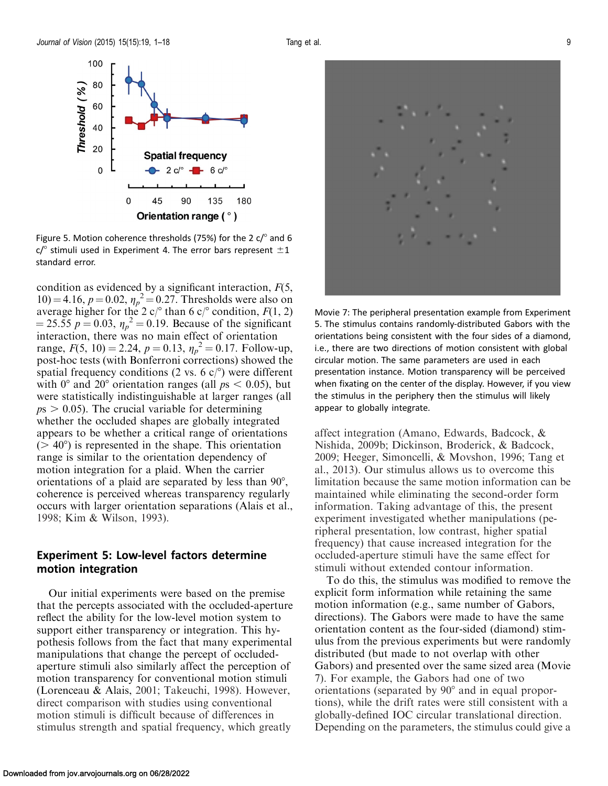<span id="page-8-0"></span>

Figure 5. Motion coherence thresholds (75%) for the 2  $c$ <sup>o</sup> and 6  $c$ <sup>o</sup> stimuli used in Experiment 4. The error bars represent  $\pm 1$ standard error.

condition as evidenced by a significant interaction,  $F(5)$ ,  $10) = 4.16$ ,  $p = 0.02$ ,  $\eta_p^2 = 0.27$ . Thresholds were also on average higher for the 2 c/ $\degree$  than 6 c/ $\degree$  condition,  $F(1, 2)$  $=$  25.55  $p = 0.03$ ,  $\eta_p^2 = 0.19$ . Because of the significant interaction, there was no main effect of orientation range,  $F(5, 10) = 2.24$ ,  $p = 0.13$ ,  $\eta_p^2 = 0.17$ . Follow-up, post-hoc tests (with Bonferroni corrections) showed the spatial frequency conditions (2 vs. 6  $c$ ) were different with 0° and 20° orientation ranges (all  $ps < 0.05$ ), but were statistically indistinguishable at larger ranges (all  $ps > 0.05$ ). The crucial variable for determining whether the occluded shapes are globally integrated appears to be whether a critical range of orientations  $(> 40^{\circ})$  is represented in the shape. This orientation range is similar to the orientation dependency of motion integration for a plaid. When the carrier orientations of a plaid are separated by less than  $90^{\circ}$ , coherence is perceived whereas transparency regularly occurs with larger orientation separations (Alais et al., [1998;](#page-15-0) Kim & Wilson, [1993\)](#page-16-0).

### Experiment 5: Low-level factors determine motion integration

Our initial experiments were based on the premise that the percepts associated with the occluded-aperture reflect the ability for the low-level motion system to support either transparency or integration. This hypothesis follows from the fact that many experimental manipulations that change the percept of occludedaperture stimuli also similarly affect the perception of motion transparency for conventional motion stimuli (Lorenceau & Alais, [2001](#page-16-0); Takeuchi, [1998](#page-16-0)). However, direct comparison with studies using conventional motion stimuli is difficult because of differences in stimulus strength and spatial frequency, which greatly



Movie 7: The peripheral presentation example from Experiment 5. The stimulus contains randomly-distributed Gabors with the orientations being consistent with the four sides of a diamond, i.e., there are two directions of motion consistent with global circular motion. The same parameters are used in each presentation instance. Motion transparency will be perceived when fixating on the center of the display. However, if you view the stimulus in the periphery then the stimulus will likely appear to globally integrate.

affect integration (Amano, Edwards, Badcock, & Nishida, [2009b](#page-15-0); Dickinson, Broderick, & Badcock, [2009;](#page-15-0) Heeger, Simoncelli, & Movshon, [1996;](#page-16-0) Tang et al., [2013\)](#page-16-0). Our stimulus allows us to overcome this limitation because the same motion information can be maintained while eliminating the second-order form information. Taking advantage of this, the present experiment investigated whether manipulations (peripheral presentation, low contrast, higher spatial frequency) that cause increased integration for the occluded-aperture stimuli have the same effect for stimuli without extended contour information.

To do this, the stimulus was modified to remove the explicit form information while retaining the same motion information (e.g., same number of Gabors, directions). The Gabors were made to have the same orientation content as the four-sided (diamond) stimulus from the previous experiments but were randomly distributed (but made to not overlap with other Gabors) and presented over the same sized area (Movie 7). For example, the Gabors had one of two orientations (separated by  $90^{\circ}$  and in equal proportions), while the drift rates were still consistent with a globally-defined IOC circular translational direction. Depending on the parameters, the stimulus could give a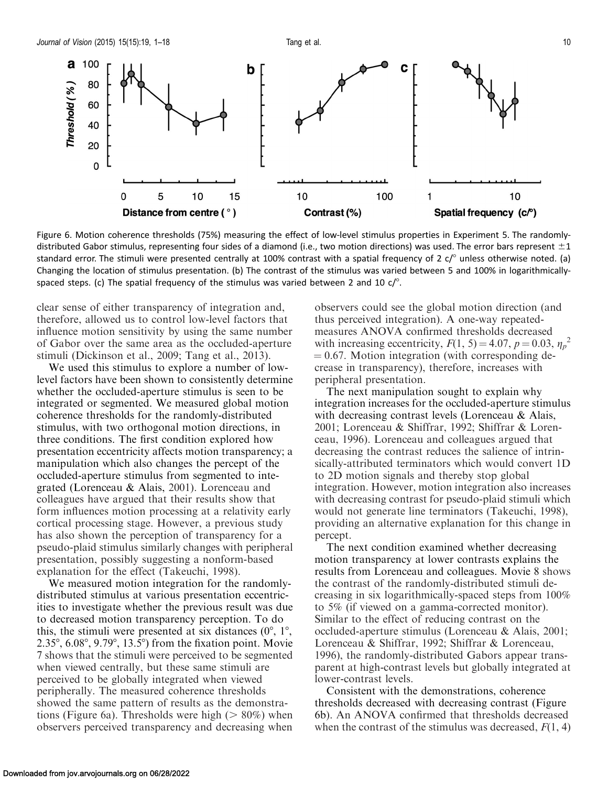<span id="page-9-0"></span>

Figure 6. Motion coherence thresholds (75%) measuring the effect of low-level stimulus properties in Experiment 5. The randomlydistributed Gabor stimulus, representing four sides of a diamond (i.e., two motion directions) was used. The error bars represent  $\pm 1$ standard error. The stimuli were presented centrally at 100% contrast with a spatial frequency of 2  $c$  unless otherwise noted. (a) Changing the location of stimulus presentation. (b) The contrast of the stimulus was varied between 5 and 100% in logarithmicallyspaced steps. (c) The spatial frequency of the stimulus was varied between 2 and 10  $c$ .

clear sense of either transparency of integration and, therefore, allowed us to control low-level factors that influence motion sensitivity by using the same number of Gabor over the same area as the occluded-aperture stimuli (Dickinson et al., [2009;](#page-15-0) Tang et al., [2013](#page-16-0)).

We used this stimulus to explore a number of lowlevel factors have been shown to consistently determine whether the occluded-aperture stimulus is seen to be integrated or segmented. We measured global motion coherence thresholds for the randomly-distributed stimulus, with two orthogonal motion directions, in three conditions. The first condition explored how presentation eccentricity affects motion transparency; a manipulation which also changes the percept of the occluded-aperture stimulus from segmented to integrated (Lorenceau & Alais, [2001\)](#page-16-0). Lorenceau and colleagues have argued that their results show that form influences motion processing at a relativity early cortical processing stage. However, a previous study has also shown the perception of transparency for a pseudo-plaid stimulus similarly changes with peripheral presentation, possibly suggesting a nonform-based explanation for the effect (Takeuchi, [1998\)](#page-16-0).

We measured motion integration for the randomlydistributed stimulus at various presentation eccentricities to investigate whether the previous result was due to decreased motion transparency perception. To do this, the stimuli were presented at six distances  $(0^{\circ}, 1^{\circ},$  $2.35^{\circ}$ ,  $6.08^{\circ}$ ,  $9.79^{\circ}$ ,  $13.5^{\circ}$ ) from the fixation point. [Movie](#page-8-0) [7](#page-8-0) shows that the stimuli were perceived to be segmented when viewed centrally, but these same stimuli are perceived to be globally integrated when viewed peripherally. The measured coherence thresholds showed the same pattern of results as the demonstrations (Figure 6a). Thresholds were high ( $> 80\%$ ) when observers perceived transparency and decreasing when observers could see the global motion direction (and thus perceived integration). A one-way repeatedmeasures ANOVA confirmed thresholds decreased with increasing eccentricity,  $F(1, 5) = 4.07$ ,  $p = 0.03$ ,  $\eta_p^2$  $= 0.67$ . Motion integration (with corresponding decrease in transparency), therefore, increases with peripheral presentation.

The next manipulation sought to explain why integration increases for the occluded-aperture stimulus with decreasing contrast levels (Lorenceau & Alais, [2001;](#page-16-0) Lorenceau & Shiffrar, [1992](#page-16-0); Shiffrar & Lorenceau, [1996\)](#page-16-0). Lorenceau and colleagues argued that decreasing the contrast reduces the salience of intrinsically-attributed terminators which would convert 1D to 2D motion signals and thereby stop global integration. However, motion integration also increases with decreasing contrast for pseudo-plaid stimuli which would not generate line terminators (Takeuchi, [1998\)](#page-16-0), providing an alternative explanation for this change in percept.

The next condition examined whether decreasing motion transparency at lower contrasts explains the results from Lorenceau and colleagues. [Movie 8](#page-10-0) shows the contrast of the randomly-distributed stimuli decreasing in six logarithmically-spaced steps from 100% to 5% (if viewed on a gamma-corrected monitor). Similar to the effect of reducing contrast on the occluded-aperture stimulus (Lorenceau & Alais, [2001](#page-16-0); Lorenceau & Shiffrar, [1992;](#page-16-0) Shiffrar & Lorenceau, [1996\)](#page-16-0), the randomly-distributed Gabors appear transparent at high-contrast levels but globally integrated at lower-contrast levels.

Consistent with the demonstrations, coherence thresholds decreased with decreasing contrast (Figure 6b). An ANOVA confirmed that thresholds decreased when the contrast of the stimulus was decreased,  $F(1, 4)$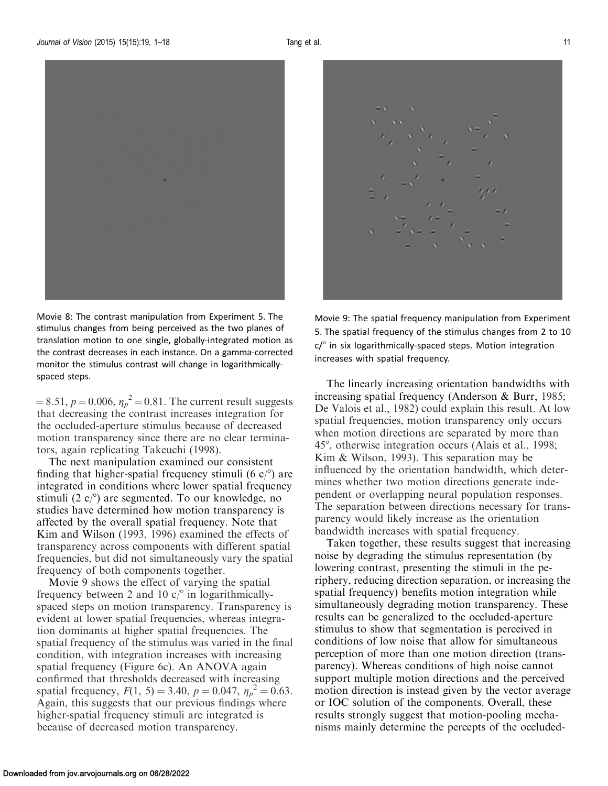<span id="page-10-0"></span>

Movie 8: The contrast manipulation from Experiment 5. The stimulus changes from being perceived as the two planes of translation motion to one single, globally-integrated motion as the contrast decreases in each instance. On a gamma-corrected monitor the stimulus contrast will change in logarithmicallyspaced steps.

 $= 8.51, p = 0.006, \eta_p^2 = 0.81$ . The current result suggests that decreasing the contrast increases integration for the occluded-aperture stimulus because of decreased motion transparency since there are no clear terminators, again replicating Takeuchi ([1998](#page-16-0)).

The next manipulation examined our consistent finding that higher-spatial frequency stimuli (6  $c$ )<sup>o</sup>) are integrated in conditions where lower spatial frequency stimuli (2  $c$ <sup>o</sup>) are segmented. To our knowledge, no studies have determined how motion transparency is affected by the overall spatial frequency. Note that Kim and Wilson [\(1993](#page-16-0), [1996\)](#page-16-0) examined the effects of transparency across components with different spatial frequencies, but did not simultaneously vary the spatial frequency of both components together.

Movie 9 shows the effect of varying the spatial frequency between 2 and 10  $c$ <sup>o</sup> in logarithmicallyspaced steps on motion transparency. Transparency is evident at lower spatial frequencies, whereas integration dominants at higher spatial frequencies. The spatial frequency of the stimulus was varied in the final condition, with integration increases with increasing spatial frequency ([Figure 6c](#page-9-0)). An ANOVA again confirmed that thresholds decreased with increasing spatial frequency,  $F(1, 5) = 3.40$ ,  $p = 0.047$ ,  $\eta_p^2 = 0.63$ . Again, this suggests that our previous findings where higher-spatial frequency stimuli are integrated is because of decreased motion transparency.



Movie 9: The spatial frequency manipulation from Experiment 5. The spatial frequency of the stimulus changes from 2 to 10  $c$ <sup>o</sup> in six logarithmically-spaced steps. Motion integration increases with spatial frequency.

The linearly increasing orientation bandwidths with increasing spatial frequency (Anderson & Burr, [1985](#page-15-0); De Valois et al., [1982\)](#page-15-0) could explain this result. At low spatial frequencies, motion transparency only occurs when motion directions are separated by more than 45°, otherwise integration occurs (Alais et al., [1998](#page-15-0); Kim & Wilson, [1993](#page-16-0)). This separation may be influenced by the orientation bandwidth, which determines whether two motion directions generate independent or overlapping neural population responses. The separation between directions necessary for transparency would likely increase as the orientation bandwidth increases with spatial frequency.

Taken together, these results suggest that increasing noise by degrading the stimulus representation (by lowering contrast, presenting the stimuli in the periphery, reducing direction separation, or increasing the spatial frequency) benefits motion integration while simultaneously degrading motion transparency. These results can be generalized to the occluded-aperture stimulus to show that segmentation is perceived in conditions of low noise that allow for simultaneous perception of more than one motion direction (transparency). Whereas conditions of high noise cannot support multiple motion directions and the perceived motion direction is instead given by the vector average or IOC solution of the components. Overall, these results strongly suggest that motion-pooling mechanisms mainly determine the percepts of the occluded-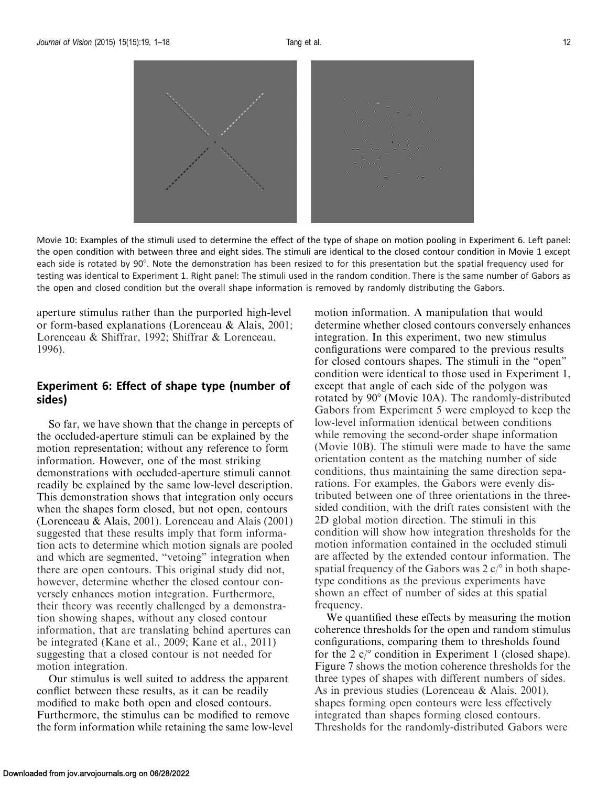

Movie 10: Examples of the stimuli used to determine the effect of the type of shape on motion pooling in Experiment 6. Left panel: the open condition with between three and eight sides. The stimuli are identical to the closed contour condition in [Movie 1](#page-1-0) except each side is rotated by 90°. Note the demonstration has been resized to for this presentation but the spatial frequency used for testing was identical to Experiment 1. Right panel: The stimuli used in the random condition. There is the same number of Gabors as the open and closed condition but the overall shape information is removed by randomly distributing the Gabors.

aperture stimulus rather than the purported high-level or form-based explanations (Lorenceau & Alais, [2001](#page-16-0); Lorenceau & Shiffrar, [1992;](#page-16-0) Shiffrar & Lorenceau, [1996\)](#page-16-0).

### Experiment 6: Effect of shape type (number of sides)

So far, we have shown that the change in percepts of the occluded-aperture stimuli can be explained by the motion representation; without any reference to form information. However, one of the most striking demonstrations with occluded-aperture stimuli cannot readily be explained by the same low-level description. This demonstration shows that integration only occurs when the shapes form closed, but not open, contours (Lorenceau & Alais, [2001](#page-16-0)). Lorenceau and Alais ([2001](#page-16-0)) suggested that these results imply that form information acts to determine which motion signals are pooled and which are segmented, ''vetoing'' integration when there are open contours. This original study did not, however, determine whether the closed contour conversely enhances motion integration. Furthermore, their theory was recently challenged by a demonstration showing shapes, without any closed contour information, that are translating behind apertures can be integrated (Kane et al., [2009;](#page-16-0) Kane et al., [2011](#page-16-0)) suggesting that a closed contour is not needed for motion integration.

Our stimulus is well suited to address the apparent conflict between these results, as it can be readily modified to make both open and closed contours. Furthermore, the stimulus can be modified to remove the form information while retaining the same low-level motion information. A manipulation that would determine whether closed contours conversely enhances integration. In this experiment, two new stimulus configurations were compared to the previous results for closed contours shapes. The stimuli in the ''open'' condition were identical to those used in Experiment 1, except that angle of each side of the polygon was rotated by  $90^{\circ}$  (Movie 10A). The randomly-distributed Gabors from Experiment 5 were employed to keep the low-level information identical between conditions while removing the second-order shape information (Movie 10B). The stimuli were made to have the same orientation content as the matching number of side conditions, thus maintaining the same direction separations. For examples, the Gabors were evenly distributed between one of three orientations in the threesided condition, with the drift rates consistent with the 2D global motion direction. The stimuli in this condition will show how integration thresholds for the motion information contained in the occluded stimuli are affected by the extended contour information. The spatial frequency of the Gabors was  $2 c<sup>o</sup>$  in both shapetype conditions as the previous experiments have shown an effect of number of sides at this spatial frequency.

We quantified these effects by measuring the motion coherence thresholds for the open and random stimulus configurations, comparing them to thresholds found for the 2  $c$ <sup>o</sup> condition in Experiment 1 (closed shape). [Figure 7](#page-12-0) shows the motion coherence thresholds for the three types of shapes with different numbers of sides. As in previous studies (Lorenceau & Alais, [2001](#page-16-0)), shapes forming open contours were less effectively integrated than shapes forming closed contours. Thresholds for the randomly-distributed Gabors were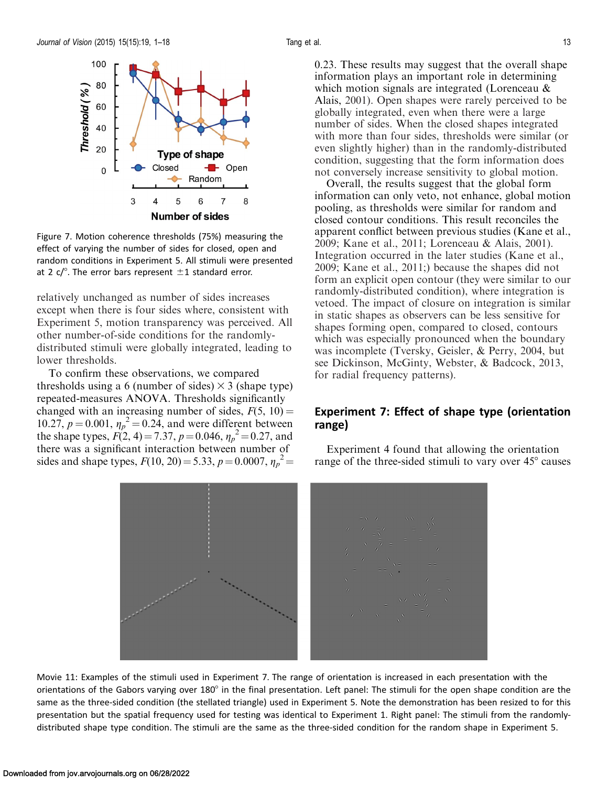<span id="page-12-0"></span>

Figure 7. Motion coherence thresholds (75%) measuring the effect of varying the number of sides for closed, open and random conditions in Experiment 5. All stimuli were presented at 2  $c$ <sup>o</sup>. The error bars represent  $\pm 1$  standard error.

relatively unchanged as number of sides increases except when there is four sides where, consistent with Experiment 5, motion transparency was perceived. All other number-of-side conditions for the randomlydistributed stimuli were globally integrated, leading to lower thresholds.

To confirm these observations, we compared thresholds using a 6 (number of sides)  $\times$  3 (shape type) repeated-measures ANOVA. Thresholds significantly changed with an increasing number of sides,  $F(5, 10) =$ 10.27,  $p = 0.001$ ,  $\eta_p^2 = 0.24$ , and were different between the shape types,  $F(2, 4) = 7.37$ ,  $p = 0.046$ ,  $\eta_p^2 = 0.27$ , and there was a significant interaction between number of sides and shape types,  $F(10, 20) = 5.33$ ,  $p = 0.0007$ ,  $\eta_p^2 =$ 

0.23. These results may suggest that the overall shape information plays an important role in determining which motion signals are integrated (Lorenceau & Alais, [2001\)](#page-16-0). Open shapes were rarely perceived to be globally integrated, even when there were a large number of sides. When the closed shapes integrated with more than four sides, thresholds were similar (or even slightly higher) than in the randomly-distributed condition, suggesting that the form information does not conversely increase sensitivity to global motion.

Overall, the results suggest that the global form information can only veto, not enhance, global motion pooling, as thresholds were similar for random and closed contour conditions. This result reconciles the apparent conflict between previous studies (Kane et al., [2009;](#page-16-0) Kane et al., [2011](#page-16-0); Lorenceau & Alais, [2001\)](#page-16-0). Integration occurred in the later studies (Kane et al., [2009;](#page-16-0) Kane et al., [2011](#page-16-0);) because the shapes did not form an explicit open contour (they were similar to our randomly-distributed condition), where integration is vetoed. The impact of closure on integration is similar in static shapes as observers can be less sensitive for shapes forming open, compared to closed, contours which was especially pronounced when the boundary was incomplete (Tversky, Geisler, & Perry, [2004](#page-17-0), but see Dickinson, McGinty, Webster, & Badcock, [2013,](#page-15-0) for radial frequency patterns).

## Experiment 7: Effect of shape type (orientation range)

Experiment 4 found that allowing the orientation range of the three-sided stimuli to vary over  $45^{\circ}$  causes



Movie 11: Examples of the stimuli used in Experiment 7. The range of orientation is increased in each presentation with the orientations of the Gabors varying over 180 $^{\circ}$  in the final presentation. Left panel: The stimuli for the open shape condition are the same as the three-sided condition (the stellated triangle) used in Experiment 5. Note the demonstration has been resized to for this presentation but the spatial frequency used for testing was identical to Experiment 1. Right panel: The stimuli from the randomlydistributed shape type condition. The stimuli are the same as the three-sided condition for the random shape in Experiment 5.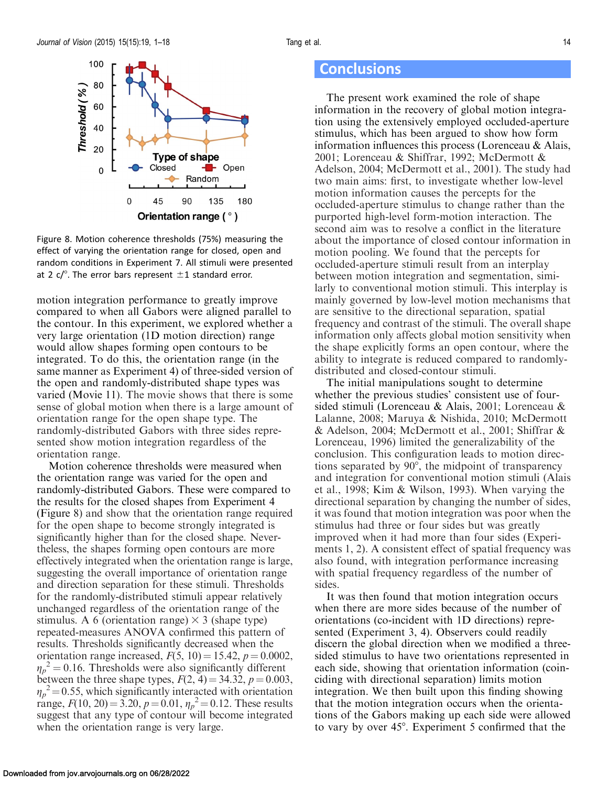

Figure 8. Motion coherence thresholds (75%) measuring the effect of varying the orientation range for closed, open and random conditions in Experiment 7. All stimuli were presented at 2  $c$ <sup>o</sup>. The error bars represent  $\pm 1$  standard error.

motion integration performance to greatly improve compared to when all Gabors were aligned parallel to the contour. In this experiment, we explored whether a very large orientation (1D motion direction) range would allow shapes forming open contours to be integrated. To do this, the orientation range (in the same manner as Experiment 4) of three-sided version of the open and randomly-distributed shape types was varied ([Movie 11](#page-12-0)). The movie shows that there is some sense of global motion when there is a large amount of orientation range for the open shape type. The randomly-distributed Gabors with three sides represented show motion integration regardless of the orientation range.

Motion coherence thresholds were measured when the orientation range was varied for the open and randomly-distributed Gabors. These were compared to the results for the closed shapes from Experiment 4 (Figure 8) and show that the orientation range required for the open shape to become strongly integrated is significantly higher than for the closed shape. Nevertheless, the shapes forming open contours are more effectively integrated when the orientation range is large, suggesting the overall importance of orientation range and direction separation for these stimuli. Thresholds for the randomly-distributed stimuli appear relatively unchanged regardless of the orientation range of the stimulus. A 6 (orientation range)  $\times$  3 (shape type) repeated-measures ANOVA confirmed this pattern of results. Thresholds significantly decreased when the orientation range increased,  $F(5, 10) = 15.42$ ,  $p = 0.0002$ ,  $\eta_p^2$  = 0.16. Thresholds were also significantly different between the three shape types,  $F(2, 4) = 34.32, p = 0.003$ ,  $\eta_p^2$  = 0.55, which significantly interacted with orientation range,  $F(10, 20) = 3.20, p = 0.01, \eta_p^2 = 0.12$ . These results suggest that any type of contour will become integrated when the orientation range is very large.

# **Conclusions**

The present work examined the role of shape information in the recovery of global motion integration using the extensively employed occluded-aperture stimulus, which has been argued to show how form information influences this process (Lorenceau & Alais, [2001;](#page-16-0) Lorenceau & Shiffrar, [1992](#page-16-0); McDermott & Adelson, [2004](#page-16-0); McDermott et al., [2001\)](#page-16-0). The study had two main aims: first, to investigate whether low-level motion information causes the percepts for the occluded-aperture stimulus to change rather than the purported high-level form-motion interaction. The second aim was to resolve a conflict in the literature about the importance of closed contour information in motion pooling. We found that the percepts for occluded-aperture stimuli result from an interplay between motion integration and segmentation, similarly to conventional motion stimuli. This interplay is mainly governed by low-level motion mechanisms that are sensitive to the directional separation, spatial frequency and contrast of the stimuli. The overall shape information only affects global motion sensitivity when the shape explicitly forms an open contour, where the ability to integrate is reduced compared to randomlydistributed and closed-contour stimuli.

The initial manipulations sought to determine whether the previous studies' consistent use of foursided stimuli (Lorenceau & Alais, [2001;](#page-16-0) Lorenceau & Lalanne, [2008;](#page-16-0) Maruya & Nishida, [2010;](#page-16-0) McDermott & Adelson, [2004](#page-16-0); McDermott et al., [2001](#page-16-0); Shiffrar & Lorenceau, [1996\)](#page-16-0) limited the generalizability of the conclusion. This configuration leads to motion directions separated by  $90^{\circ}$ , the midpoint of transparency and integration for conventional motion stimuli (Alais et al., [1998;](#page-15-0) Kim & Wilson, [1993\)](#page-16-0). When varying the directional separation by changing the number of sides, it was found that motion integration was poor when the stimulus had three or four sides but was greatly improved when it had more than four sides (Experiments 1, 2). A consistent effect of spatial frequency was also found, with integration performance increasing with spatial frequency regardless of the number of sides.

It was then found that motion integration occurs when there are more sides because of the number of orientations (co-incident with 1D directions) represented (Experiment 3, 4). Observers could readily discern the global direction when we modified a threesided stimulus to have two orientations represented in each side, showing that orientation information (coinciding with directional separation) limits motion integration. We then built upon this finding showing that the motion integration occurs when the orientations of the Gabors making up each side were allowed to vary by over 45°. Experiment 5 confirmed that the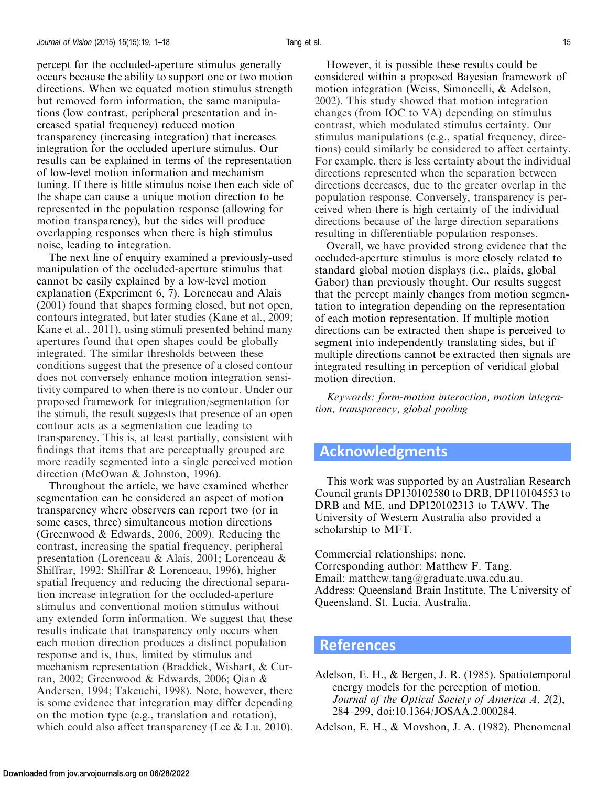<span id="page-14-0"></span>percept for the occluded-aperture stimulus generally occurs because the ability to support one or two motion directions. When we equated motion stimulus strength but removed form information, the same manipulations (low contrast, peripheral presentation and increased spatial frequency) reduced motion transparency (increasing integration) that increases integration for the occluded aperture stimulus. Our results can be explained in terms of the representation of low-level motion information and mechanism tuning. If there is little stimulus noise then each side of the shape can cause a unique motion direction to be represented in the population response (allowing for motion transparency), but the sides will produce overlapping responses when there is high stimulus noise, leading to integration.

The next line of enquiry examined a previously-used manipulation of the occluded-aperture stimulus that cannot be easily explained by a low-level motion explanation (Experiment 6, 7). Lorenceau and Alais ([2001\)](#page-16-0) found that shapes forming closed, but not open, contours integrated, but later studies (Kane et al., [2009](#page-16-0); Kane et al., [2011](#page-16-0)), using stimuli presented behind many apertures found that open shapes could be globally integrated. The similar thresholds between these conditions suggest that the presence of a closed contour does not conversely enhance motion integration sensitivity compared to when there is no contour. Under our proposed framework for integration/segmentation for the stimuli, the result suggests that presence of an open contour acts as a segmentation cue leading to transparency. This is, at least partially, consistent with findings that items that are perceptually grouped are more readily segmented into a single perceived motion direction (McOwan & Johnston, [1996](#page-16-0)).

Throughout the article, we have examined whether segmentation can be considered an aspect of motion transparency where observers can report two (or in some cases, three) simultaneous motion directions (Greenwood & Edwards, [2006, 2009](#page-15-0)). Reducing the contrast, increasing the spatial frequency, peripheral presentation (Lorenceau & Alais, [2001](#page-16-0); Lorenceau & Shiffrar, [1992;](#page-16-0) Shiffrar & Lorenceau, [1996](#page-16-0)), higher spatial frequency and reducing the directional separation increase integration for the occluded-aperture stimulus and conventional motion stimulus without any extended form information. We suggest that these results indicate that transparency only occurs when each motion direction produces a distinct population response and is, thus, limited by stimulus and mechanism representation (Braddick, Wishart, & Curran, [2002](#page-15-0); Greenwood & Edwards, [2006](#page-15-0); Qian & Andersen, [1994;](#page-16-0) Takeuchi, [1998](#page-16-0)). Note, however, there is some evidence that integration may differ depending on the motion type (e.g., translation and rotation), which could also affect transparency (Lee & Lu, [2010](#page-16-0)).

However, it is possible these results could be considered within a proposed Bayesian framework of motion integration (Weiss, Simoncelli, & Adelson, [2002\)](#page-17-0). This study showed that motion integration changes (from IOC to VA) depending on stimulus contrast, which modulated stimulus certainty. Our stimulus manipulations (e.g., spatial frequency, directions) could similarly be considered to affect certainty. For example, there is less certainty about the individual directions represented when the separation between directions decreases, due to the greater overlap in the population response. Conversely, transparency is perceived when there is high certainty of the individual directions because of the large direction separations resulting in differentiable population responses.

Overall, we have provided strong evidence that the occluded-aperture stimulus is more closely related to standard global motion displays (i.e., plaids, global Gabor) than previously thought. Our results suggest that the percept mainly changes from motion segmentation to integration depending on the representation of each motion representation. If multiple motion directions can be extracted then shape is perceived to segment into independently translating sides, but if multiple directions cannot be extracted then signals are integrated resulting in perception of veridical global motion direction.

Keywords: form-motion interaction, motion integration, transparency, global pooling

# Acknowledgments

This work was supported by an Australian Research Council grants DP130102580 to DRB, DP110104553 to DRB and ME, and DP120102313 to TAWV. The University of Western Australia also provided a scholarship to MFT.

Commercial relationships: none. Corresponding author: Matthew F. Tang. Email: matthew.tang@graduate.uwa.edu.au. Address: Queensland Brain Institute, The University of Queensland, St. Lucia, Australia.

# **References**

Adelson, E. H., & Bergen, J. R. (1985). Spatiotemporal energy models for the perception of motion. Journal of the Optical Society of America A, 2(2), 284–299, doi:10.1364/JOSAA.2.000284.

Adelson, E. H., & Movshon, J. A. (1982). Phenomenal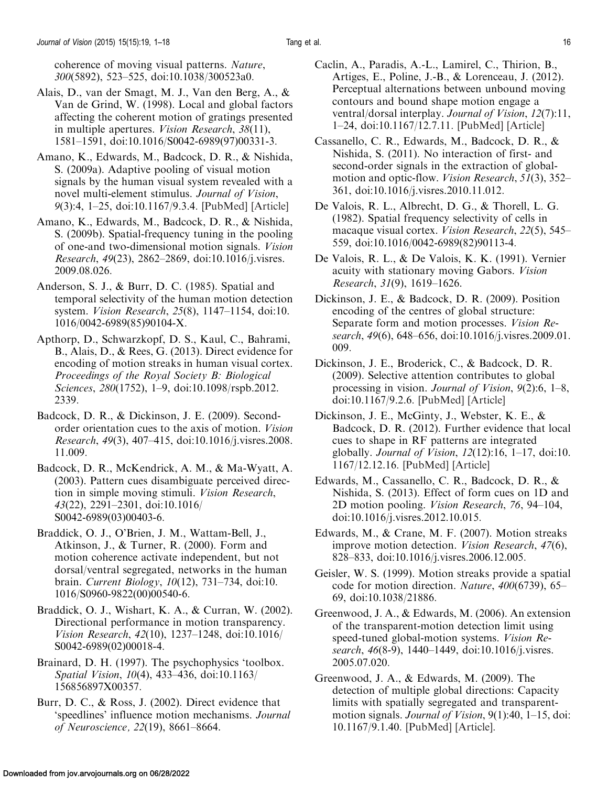<span id="page-15-0"></span>coherence of moving visual patterns. Nature, 300(5892), 523–525, doi:10.1038/300523a0.

- Alais, D., van der Smagt, M. J., Van den Berg, A., & Van de Grind, W. (1998). Local and global factors affecting the coherent motion of gratings presented in multiple apertures. Vision Research, 38(11), 1581–1591, doi:10.1016/S0042-6989(97)00331-3.
- Amano, K., Edwards, M., Badcock, D. R., & Nishida, S. (2009a). Adaptive pooling of visual motion signals by the human visual system revealed with a novel multi-element stimulus. Journal of Vision, 9(3):4, 1–25, doi:10.1167/9.3.4. [\[PubMed\]](http://www.ncbi.nlm.nih.gov/pubmed/19757943) [\[Article\]](http://jov.arvojournals.org/article.aspx?articleid=2193524)
- Amano, K., Edwards, M., Badcock, D. R., & Nishida, S. (2009b). Spatial-frequency tuning in the pooling of one-and two-dimensional motion signals. Vision Research, 49(23), 2862–2869, doi:10.1016/j.visres. 2009.08.026.
- Anderson, S. J., & Burr, D. C. (1985). Spatial and temporal selectivity of the human motion detection system. Vision Research, 25(8), 1147–1154, doi:10. 1016/0042-6989(85)90104-X.
- Apthorp, D., Schwarzkopf, D. S., Kaul, C., Bahrami, B., Alais, D., & Rees, G. (2013). Direct evidence for encoding of motion streaks in human visual cortex. Proceedings of the Royal Society B: Biological Sciences, 280(1752), 1–9, doi:10.1098/rspb.2012. 2339.
- Badcock, D. R., & Dickinson, J. E. (2009). Secondorder orientation cues to the axis of motion. Vision Research, 49(3), 407–415, doi:10.1016/j.visres.2008. 11.009.
- Badcock, D. R., McKendrick, A. M., & Ma-Wyatt, A. (2003). Pattern cues disambiguate perceived direction in simple moving stimuli. Vision Research, 43(22), 2291–2301, doi:10.1016/ S0042-6989(03)00403-6.
- Braddick, O. J., O'Brien, J. M., Wattam-Bell, J., Atkinson, J., & Turner, R. (2000). Form and motion coherence activate independent, but not dorsal/ventral segregated, networks in the human brain. Current Biology, 10(12), 731–734, doi:10. 1016/S0960-9822(00)00540-6.
- Braddick, O. J., Wishart, K. A., & Curran, W. (2002). Directional performance in motion transparency. Vision Research, 42(10), 1237–1248, doi:10.1016/ S0042-6989(02)00018-4.
- Brainard, D. H. (1997). The psychophysics 'toolbox. Spatial Vision, 10(4), 433–436, doi:10.1163/ 156856897X00357.
- Burr, D. C., & Ross, J. (2002). Direct evidence that 'speedlines' influence motion mechanisms. Journal of Neuroscience, 22(19), 8661–8664.
- Caclin, A., Paradis, A.-L., Lamirel, C., Thirion, B., Artiges, E., Poline, J.-B., & Lorenceau, J. (2012). Perceptual alternations between unbound moving contours and bound shape motion engage a ventral/dorsal interplay. Journal of Vision, 12(7):11, 1–24, doi:10.1167/12.7.11. [[PubMed](http://www.ncbi.nlm.nih.gov/pubmed/22829657)] [[Article](http://jov.arvojournals.org/article.aspx?articleid=2192091)]
- Cassanello, C. R., Edwards, M., Badcock, D. R., & Nishida, S. (2011). No interaction of first- and second-order signals in the extraction of globalmotion and optic-flow. Vision Research, 51(3), 352– 361, doi:10.1016/j.visres.2010.11.012.
- De Valois, R. L., Albrecht, D. G., & Thorell, L. G. (1982). Spatial frequency selectivity of cells in macaque visual cortex. Vision Research, 22(5), 545– 559, doi:10.1016/0042-6989(82)90113-4.
- De Valois, R. L., & De Valois, K. K. (1991). Vernier acuity with stationary moving Gabors. Vision Research, 31(9), 1619–1626.
- Dickinson, J. E., & Badcock, D. R. (2009). Position encoding of the centres of global structure: Separate form and motion processes. Vision Research, 49(6), 648–656, doi:10.1016/j.visres.2009.01. 009.
- Dickinson, J. E., Broderick, C., & Badcock, D. R. (2009). Selective attention contributes to global processing in vision. Journal of Vision, 9(2):6, 1–8, doi:10.1167/9.2.6. [\[PubMed\]](http://www.ncbi.nlm.nih.gov/pubmed/19271916) [\[Article](http://jov.arvojournals.org/article.aspx?articleid=2193468)]
- Dickinson, J. E., McGinty, J., Webster, K. E., & Badcock, D. R. (2012). Further evidence that local cues to shape in RF patterns are integrated globally. Journal of Vision,  $12(12):16$ ,  $1-17$ , doi:10. 1167/12.12.16. [[PubMed](http://www.ncbi.nlm.nih.gov/pubmed/23197768)] [[Article\]](http://jov.arvojournals.org/article.aspx?articleid=2192025)
- Edwards, M., Cassanello, C. R., Badcock, D. R., & Nishida, S. (2013). Effect of form cues on 1D and 2D motion pooling. Vision Research, 76, 94–104, doi:10.1016/j.visres.2012.10.015.
- Edwards, M., & Crane, M. F. (2007). Motion streaks improve motion detection. Vision Research, 47(6), 828–833, doi:10.1016/j.visres.2006.12.005.
- Geisler, W. S. (1999). Motion streaks provide a spatial code for motion direction. Nature, 400(6739), 65– 69, doi:10.1038/21886.
- Greenwood, J. A., & Edwards, M. (2006). An extension of the transparent-motion detection limit using speed-tuned global-motion systems. Vision Research, 46(8-9), 1440–1449, doi:10.1016/j.visres. 2005.07.020.
- Greenwood, J. A., & Edwards, M. (2009). The detection of multiple global directions: Capacity limits with spatially segregated and transparentmotion signals. *Journal of Vision*, 9(1):40, 1–15, doi: 10.1167/9.1.40. [[PubMed](http://www.ncbi.nlm.nih.gov/pubmed/19271910)] [[Article](http://jov.arvojournals.org/article.aspx?articleid=2122684)].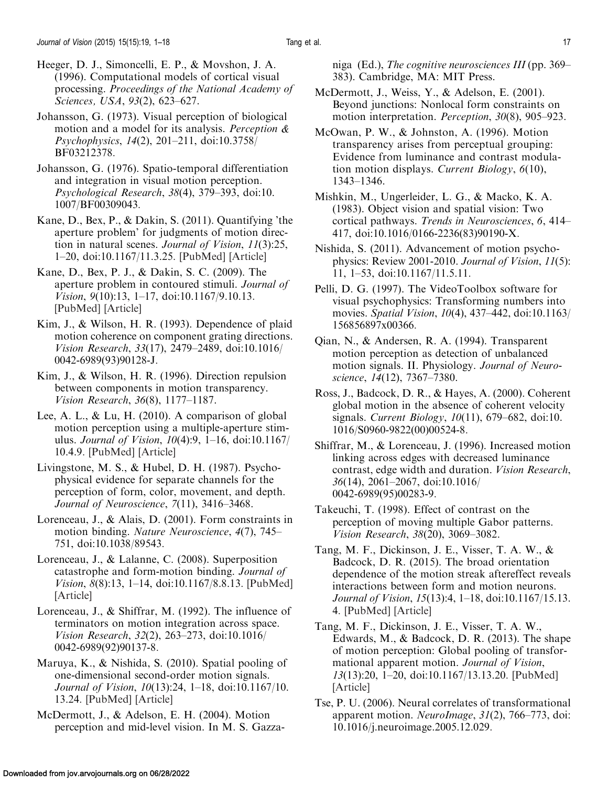- <span id="page-16-0"></span>Heeger, D. J., Simoncelli, E. P., & Movshon, J. A. (1996). Computational models of cortical visual processing. Proceedings of the National Academy of Sciences, USA, 93(2), 623–627.
- Johansson, G. (1973). Visual perception of biological motion and a model for its analysis. Perception & Psychophysics, 14(2), 201–211, doi:10.3758/ BF03212378.
- Johansson, G. (1976). Spatio-temporal differentiation and integration in visual motion perception. Psychological Research, 38(4), 379–393, doi:10. 1007/BF00309043.
- Kane, D., Bex, P., & Dakin, S. (2011). Quantifying 'the aperture problem' for judgments of motion direction in natural scenes. Journal of Vision, 11(3):25, 1–20, doi:10.1167/11.3.25. [[PubMed](http://www.ncbi.nlm.nih.gov/pubmed/21454854)] [[Article\]](http://jov.arvojournals.org/article.aspx?articleid=2191808)
- Kane, D., Bex, P. J., & Dakin, S. C. (2009). The aperture problem in contoured stimuli. Journal of Vision, 9(10):13, 1–17, doi:10.1167/9.10.13. [[PubMed](http://www.ncbi.nlm.nih.gov/pubmed/19810794)] [[Article\]](http://jov.arvojournals.org/article.aspx?articleid=2122096)
- Kim, J., & Wilson, H. R. (1993). Dependence of plaid motion coherence on component grating directions. Vision Research, 33(17), 2479–2489, doi:10.1016/ 0042-6989(93)90128-J.
- Kim, J., & Wilson, H. R. (1996). Direction repulsion between components in motion transparency. Vision Research, 36(8), 1177–1187.
- Lee, A. L., & Lu, H. (2010). A comparison of global motion perception using a multiple-aperture stimulus. *Journal of Vision*,  $10(4)$ :9, 1–16, doi:10.1167/ 10.4.9. [\[PubMed\]](http://www.ncbi.nlm.nih.gov/pubmed/20465329) [\[Article](http://jov.arvojournals.org/article.aspx?articleid=2121387)]
- Livingstone, M. S., & Hubel, D. H. (1987). Psychophysical evidence for separate channels for the perception of form, color, movement, and depth. Journal of Neuroscience, 7(11), 3416–3468.
- Lorenceau, J., & Alais, D. (2001). Form constraints in motion binding. Nature Neuroscience, 4(7), 745– 751, doi:10.1038/89543.
- Lorenceau, J., & Lalanne, C. (2008). Superposition catastrophe and form-motion binding. Journal of Vision, 8(8):13, 1–14, doi:10.1167/8.8.13. [[PubMed](http://www.ncbi.nlm.nih.gov/pubmed/18831636)] [[Article\]](http://jov.arvojournals.org/article.aspx?articleid=2193272)
- Lorenceau, J., & Shiffrar, M. (1992). The influence of terminators on motion integration across space. Vision Research, 32(2), 263–273, doi:10.1016/ 0042-6989(92)90137-8.
- Maruya, K., & Nishida, S. (2010). Spatial pooling of one-dimensional second-order motion signals. Journal of Vision, 10(13):24, 1–18, doi:10.1167/10. 13.24. [\[PubMed\]](http://www.ncbi.nlm.nih.gov/pubmed/21149309) [\[Article](http://jov.arvojournals.org/article.aspx?articleid=2191778)]
- McDermott, J., & Adelson, E. H. (2004). Motion perception and mid-level vision. In M. S. Gazza-

niga (Ed.), The cognitive neurosciences III (pp. 369– 383). Cambridge, MA: MIT Press.

- McDermott, J., Weiss, Y., & Adelson, E. (2001). Beyond junctions: Nonlocal form constraints on motion interpretation. *Perception*, 30(8), 905–923.
- McOwan, P. W., & Johnston, A. (1996). Motion transparency arises from perceptual grouping: Evidence from luminance and contrast modulation motion displays. Current Biology, 6(10), 1343–1346.
- Mishkin, M., Ungerleider, L. G., & Macko, K. A. (1983). Object vision and spatial vision: Two cortical pathways. Trends in Neurosciences, 6, 414– 417, doi:10.1016/0166-2236(83)90190-X.
- Nishida, S. (2011). Advancement of motion psychophysics: Review 2001-2010. Journal of Vision, 11(5): 11, 1–53, doi:10.1167/11.5.11.
- Pelli, D. G. (1997). The VideoToolbox software for visual psychophysics: Transforming numbers into movies. Spatial Vision, 10(4), 437–442, doi:10.1163/ 156856897x00366.
- Qian, N., & Andersen, R. A. (1994). Transparent motion perception as detection of unbalanced motion signals. II. Physiology. Journal of Neuroscience, 14(12), 7367–7380.
- Ross, J., Badcock, D. R., & Hayes, A. (2000). Coherent global motion in the absence of coherent velocity signals. Current Biology, 10(11), 679–682, doi:10. 1016/S0960-9822(00)00524-8.
- Shiffrar, M., & Lorenceau, J. (1996). Increased motion linking across edges with decreased luminance contrast, edge width and duration. Vision Research, 36(14), 2061–2067, doi:10.1016/ 0042-6989(95)00283-9.
- Takeuchi, T. (1998). Effect of contrast on the perception of moving multiple Gabor patterns. Vision Research, 38(20), 3069–3082.
- Tang, M. F., Dickinson, J. E., Visser, T. A. W., & Badcock, D. R. (2015). The broad orientation dependence of the motion streak aftereffect reveals interactions between form and motion neurons. Journal of Vision, 15(13):4, 1–18, doi:10.1167/15.13. 4. [[PubMed](http://www.ncbi.nlm.nih.gov/pubmed/26381835)] [[Article\]](http://jov.arvojournals.org/article.aspx?articleid=2436914)
- Tang, M. F., Dickinson, J. E., Visser, T. A. W., Edwards, M., & Badcock, D. R. (2013). The shape of motion perception: Global pooling of transformational apparent motion. Journal of Vision, 13(13):20, 1–20, doi:10.1167/13.13.20. [[PubMed](http://www.ncbi.nlm.nih.gov/pubmed/24259672)] [[Article\]](http://jov.arvojournals.org/article.aspx?articleid=2193839)
- Tse, P. U. (2006). Neural correlates of transformational apparent motion. NeuroImage, 31(2), 766–773, doi: 10.1016/j.neuroimage.2005.12.029.